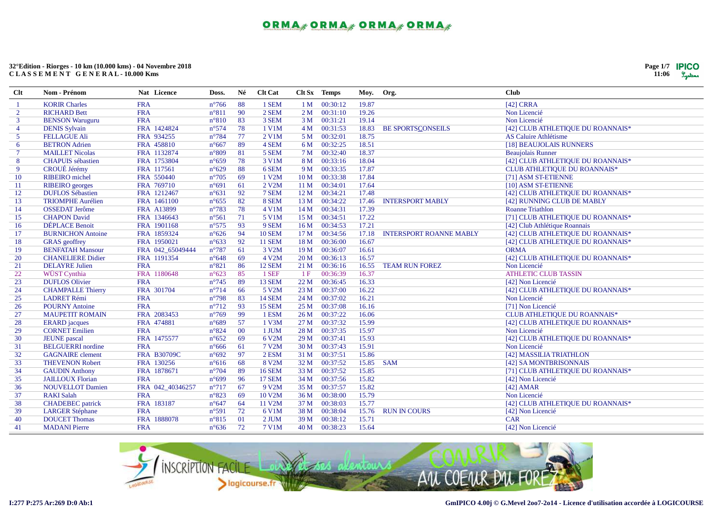

| $Cl$ t         | Nom - Prénom             | Nat Licence      | Doss.          | Né  | <b>Clt Cat</b> |                 | Clt Sx Temps  | Moy.  | Org.                           | <b>Club</b>                         |
|----------------|--------------------------|------------------|----------------|-----|----------------|-----------------|---------------|-------|--------------------------------|-------------------------------------|
| -1             | <b>KORIR Charles</b>     | <b>FRA</b>       | $n^{\circ}766$ | 88  | 1 SEM          | 1 M             | 00:30:12      | 19.87 |                                | [42] CRRA                           |
| $\overline{2}$ | <b>RICHARD Bett</b>      | <b>FRA</b>       | $n^{\circ}811$ | -90 | 2 SEM          | 2M              | 00:31:10      | 19.26 |                                | Non Licencié                        |
| $\mathbf{3}$   | <b>BENSON Waruguru</b>   | <b>FRA</b>       | $n^{\circ}810$ | 83  | 3 SEM          | 3M              | 00:31:21      | 19.14 |                                | Non Licencié                        |
| $\overline{4}$ | <b>DENIS Sylvain</b>     | FRA 1424824      | $n^{\circ}574$ | 78  | 1 V1M          | 4 M             | 00:31:53      | 18.83 | <b>BE SPORTSCONSEILS</b>       | [42] CLUB ATHLETIQUE DU ROANNAIS*   |
| 5              | <b>FELLAGUE Ali</b>      | FRA 934255       | $n^{\circ}784$ | 77  | 2 V1M          | 5 M             | 00:32:01      | 18.75 |                                | <b>AS Caluire Athlétisme</b>        |
| 6              | <b>BETRON</b> Adrien     | FRA 458810       | $n^{\circ}667$ | 89  | 4 SEM          | 6 M             | 00:32:25      | 18.51 |                                | [18] BEAUJOLAIS RUNNERS             |
| $\tau$         | <b>MAILLET Nicolas</b>   | FRA 1132874      | $n^{\circ}809$ | 81  | 5 SEM          | 7 <sub>M</sub>  | 00:32:40      | 18.37 |                                | <b>Beaujolais Runner</b>            |
| 8              | <b>CHAPUIS</b> sébastien | FRA 1753804      | $n^{\circ}659$ | 78  | 3 V1M          | 8 M             | 00:33:16      | 18.04 |                                | [42] CLUB ATHLETIQUE DU ROANNAIS*   |
| 9              | CROUÉ Jérémy             | FRA 117561       | $n^{\circ}629$ | 88  | 6 SEM          | 9 M             | 00:33:35      | 17.87 |                                | CLUB ATHLETIQUE DU ROANNAIS*        |
| 10             | <b>RIBEIRO</b> michel    | FRA 550440       | $n^{\circ}705$ | 69  | 1 V2M          | 10 <sub>M</sub> | 00:33:38      | 17.84 |                                | [71] ASM ST-ETIENNE                 |
| 11             | <b>RIBEIRO</b> georges   | FRA 769710       | $n^{\circ}691$ | 61  | 2 V2M          | 11 <sub>M</sub> | 00:34:01      | 17.64 |                                | [10] ASM ST-ETIENNE                 |
| 12             | <b>DUFLOS Sébastien</b>  | FRA 1212467      | $n^{\circ}631$ | 92  | 7 SEM          |                 | 12 M 00:34:21 | 17.48 |                                | [42] CLUB ATHLETIQUE DU ROANNAIS*   |
| 13             | <b>TRIOMPHE Aurélien</b> | FRA 1461100      | $n^{\circ}655$ | 82  | 8 SEM          | 13 M            | 00:34:22      | 17.46 | <b>INTERSPORT MABLY</b>        | [42] RUNNING CLUB DE MABLY          |
| 14             | <b>OSSEDAT</b> Jerôme    | FRA A13899       | $n^{\circ}783$ | 78  | 4 V1M          | 14M             | 00:34:31      | 17.39 |                                | <b>Roanne Triathlon</b>             |
| 15             | <b>CHAPON David</b>      | FRA 1346643      | $n^{\circ}561$ | 71  | 5 V1M          | 15 M            | 00:34:51      | 17.22 |                                | [71] CLUB ATHLETIQUE DU ROANNAIS*   |
| 16             | <b>DÉPLACE Benoit</b>    | FRA 1901168      | $n^{\circ}575$ | 93  | 9 SEM          | 16M             | 00:34:53      | 17.21 |                                | [42] Club Athlétique Roannais       |
| 17             | <b>BURNICHON Antoine</b> | FRA 1859324      | $n^{\circ}626$ | 94  | <b>10 SEM</b>  | 17 M            | 00:34:56      | 17.18 | <b>INTERSPORT ROANNE MABLY</b> | [42] CLUB ATHLETIQUE DU ROANNAIS*   |
| 18             | <b>GRAS</b> geoffrey     | FRA 1950021      | $n^{\circ}633$ | 92  | <b>11 SEM</b>  | 18 <sub>M</sub> | 00:36:00      | 16.67 |                                | [42] CLUB ATHLETIQUE DU ROANNAIS*   |
| 19             | <b>BENFATAH Mansour</b>  | FRA 042_65049444 | $n^{\circ}787$ | 61  | 3 V2M          | 19 <sub>M</sub> | 00:36:07      | 16.61 |                                | <b>ORMA</b>                         |
| 20             | <b>CHANELIERE Didier</b> | FRA 1191354      | $n^{\circ}648$ | 69  | 4 V2M          | 20 M            | 00:36:13      | 16.57 |                                | [42] CLUB ATHLETIQUE DU ROANNAIS*   |
| 21             | <b>DELAYRE Julien</b>    | <b>FRA</b>       | $n^{\circ}821$ | 86  | <b>12 SEM</b>  | 21 M            | 00:36:16      | 16.55 | <b>TEAM RUN FOREZ</b>          | Non Licencié                        |
| 22             | WÜST Cynthia             | FRA 1180648      | $n^{\circ}623$ | 85  | 1 SEF          | 1F              | 00:36:39      | 16.37 |                                | <b>ATHLETIC CLUB TASSIN</b>         |
| 23             | <b>DUFLOS Olivier</b>    | <b>FRA</b>       | $n^{\circ}745$ | 89  | <b>13 SEM</b>  | 22M             | 00:36:45      | 16.33 |                                | [42] Non Licencié                   |
| 24             | <b>CHAMPALLE Thierry</b> | FRA 301704       | $n^{\circ}714$ | 66  | 5 V2M          | 23M             | 00:37:00      | 16.22 |                                | [42] CLUB ATHLETIQUE DU ROANNAIS*   |
| 25             | <b>LADRET Rémi</b>       | <b>FRA</b>       | $n^{\circ}798$ | 83  | <b>14 SEM</b>  | 24 M            | 00:37:02      | 16.21 |                                | Non Licencié                        |
| 26             | <b>POURNY Antoine</b>    | <b>FRA</b>       | $n^{\circ}712$ | 93  | <b>15 SEM</b>  | 25M             | 00:37:08      | 16.16 |                                | [71] Non Licencié                   |
| 27             | <b>MAUPETIT ROMAIN</b>   | FRA 2083453      | $n^{\circ}769$ | 99  | 1 ESM          | 26M             | 00:37:22      | 16.06 |                                | <b>CLUB ATHLETIQUE DU ROANNAIS*</b> |
| 28             | <b>ERARD</b> jacques     | FRA 474881       | $n^{\circ}689$ | 57  | 1 V3M          | 27 M            | 00:37:32      | 15.99 |                                | [42] CLUB ATHLETIQUE DU ROANNAIS*   |
| 29             | <b>CORNET Emilien</b>    | <b>FRA</b>       | $n^{\circ}824$ | 00  | 1 JUM          | 28 M            | 00:37:35      | 15.97 |                                | Non Licencié                        |
| 30             | <b>JEUNE</b> pascal      | FRA 1475577      | $n^{\circ}652$ | 69  | 6 V2M          | 29 M            | 00:37:41      | 15.93 |                                | [42] CLUB ATHLETIQUE DU ROANNAIS*   |
| 31             | <b>BELGUERRI</b> nordine | <b>FRA</b>       | $n^{\circ}666$ | 61  | 7 V2M          | 30 M            | 00:37:43      | 15.91 |                                | Non Licencié                        |
| 32             | <b>GAGNAIRE</b> clement  | FRA B30709C      | $n^{\circ}692$ | 97  | 2 ESM          | 31 M            | 00:37:51      | 15.86 |                                | [42] MASSILIA TRIATHLON             |
| 33             | <b>THEVENON Robert</b>   | FRA 130256       | $n^{\circ}616$ | 68  | 8 V2M          | 32 M            | 00:37:52      | 15.85 | <b>SAM</b>                     | [42] SA MONTBRISONNAIS              |
| 34             | <b>GAUDIN</b> Anthony    | FRA 1878671      | $n^{\circ}704$ | 89  | <b>16 SEM</b>  | 33 M            | 00:37:52      | 15.85 |                                | [71] CLUB ATHLETIQUE DU ROANNAIS*   |
| 35             | <b>JAILLOUX Florian</b>  | <b>FRA</b>       | $n^{\circ}699$ | 96  | <b>17 SEM</b>  | 34 M            | 00:37:56      | 15.82 |                                | [42] Non Licencié                   |
| 36             | <b>NOUVELLOT Damien</b>  | FRA 042_40346257 | $n^{\circ}717$ | 67  | 9 V2M          |                 | 35 M 00:37:57 | 15.82 |                                | $[42]$ AMAR                         |
| 37             | <b>RAKI Salah</b>        | <b>FRA</b>       | $n^{\circ}823$ | 69  | 10 V2M         | 36 M            | 00:38:00      | 15.79 |                                | Non Licencié                        |
| 38             | <b>CHADEBEC</b> patrick  | FRA 183187       | $n^{\circ}647$ | 64  | 11 V2M         | 37 M            | 00:38:03      | 15.77 |                                | [42] CLUB ATHLETIQUE DU ROANNAIS*   |
| 39             | <b>LARGER Stéphane</b>   | <b>FRA</b>       | $n^{\circ}591$ | 72  | 6 V1M          | 38 M            | 00:38:04      | 15.76 | <b>RUN IN COURS</b>            | [42] Non Licencié                   |
| 40             | <b>DOUCET Thomas</b>     | FRA 1888078      | $n^{\circ}815$ | 01  | 2 JUM          | 39 M            | 00:38:12      | 15.71 |                                | <b>CAR</b>                          |
| 41             | <b>MADANI</b> Pierre     | <b>FRA</b>       | $n^{\circ}636$ | 72  | 7 V1M          | 40 M            | 00:38:23      | 15.64 |                                | [42] Non Licencié                   |

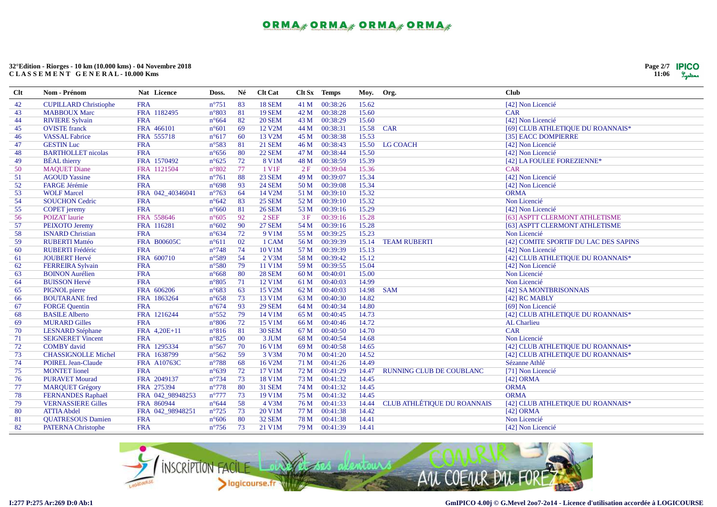

| Clt | Nom - Prénom                 | Nat Licence        | Doss.           | Né             | <b>Clt Cat</b> |      | Clt Sx Temps | Moy.  | Org.                               | <b>Club</b>                           |
|-----|------------------------------|--------------------|-----------------|----------------|----------------|------|--------------|-------|------------------------------------|---------------------------------------|
| 42  | <b>CUPILLARD Christiophe</b> | <b>FRA</b>         | $n^{\circ}751$  | 83             | <b>18 SEM</b>  | 41 M | 00:38:26     | 15.62 |                                    | [42] Non Licencié                     |
| 43  | <b>MABBOUX Marc</b>          | FRA 1182495        | $n^{\circ}803$  | 81             | <b>19 SEM</b>  | 42 M | 00:38:28     | 15.60 |                                    | <b>CAR</b>                            |
| 44  | <b>RIVIERE Sylvain</b>       | <b>FRA</b>         | $n^{\circ}664$  | 82             | <b>20 SEM</b>  | 43 M | 00:38:29     | 15.60 |                                    | [42] Non Licencié                     |
| 45  | <b>OVISTE</b> franck         | FRA 466101         | $n^{\circ}601$  | 69             | 12 V2M         | 44 M | 00:38:31     |       | 15.58 CAR                          | [69] CLUB ATHLETIQUE DU ROANNAIS*     |
| 46  | <b>VASSAL Fabrice</b>        | FRA 555718         | $n^{\circ}617$  | 60             | 13 V2M         | 45 M | 00:38:38     | 15.53 |                                    | [35] EACC DOMPIERRE                   |
| 47  | <b>GESTIN Luc</b>            | <b>FRA</b>         | $n^{\circ}583$  | 81             | <b>21 SEM</b>  | 46 M | 00:38:43     | 15.50 | LG COACH                           | [42] Non Licencié                     |
| 48  | <b>BARTHOLLET</b> nicolas    | <b>FRA</b>         | $n^{\circ}656$  | 80             | <b>22 SEM</b>  | 47 M | 00:38:44     | 15.50 |                                    | [42] Non Licencié                     |
| 49  | <b>BÉAL</b> thierry          | FRA 1570492        | $n^{\circ}625$  | 72             | 8 V1M          | 48 M | 00:38:59     | 15.39 |                                    | [42] LA FOULEE FOREZIENNE*            |
| 50  | <b>MAQUET Diane</b>          | FRA 1121504        | $n^{\circ}802$  | 77             | 1 V1F          | 2F   | 00:39:04     | 15.36 |                                    | <b>CAR</b>                            |
| 51  | <b>AGOUD Yassine</b>         | <b>FRA</b>         | $n^{\circ}761$  | 88             | <b>23 SEM</b>  | 49 M | 00:39:07     | 15.34 |                                    | [42] Non Licencié                     |
| 52  | FARGE Jérémie                | <b>FRA</b>         | $n^{\circ}698$  | 93             | <b>24 SEM</b>  | 50 M | 00:39:08     | 15.34 |                                    | [42] Non Licencié                     |
| 53  | <b>WOLF Marcel</b>           | FRA 042_40346041   | $n^{\circ}763$  | 64             | 14 V2M         | 51 M | 00:39:10     | 15.32 |                                    | <b>ORMA</b>                           |
| 54  | <b>SOUCHON Cedric</b>        | <b>FRA</b>         | $n^{\circ}642$  | 83             | <b>25 SEM</b>  | 52 M | 00:39:10     | 15.32 |                                    | Non Licencié                          |
| 55  | <b>COPET</b> jeremy          | <b>FRA</b>         | $n^{\circ}660$  | 81             | <b>26 SEM</b>  | 53 M | 00:39:16     | 15.29 |                                    | [42] Non Licencié                     |
| 56  | <b>POIZAT</b> laurie         | FRA 558646         | $n^{\circ}605$  | 92             | $2$ SEF        | 3F   | 00:39:16     | 15.28 |                                    | [63] ASPTT CLERMONT ATHLETISME        |
| 57  | PEIXOTO Jeremy               | FRA 116281         | $n^{\circ}602$  | 90             | <b>27 SEM</b>  | 54 M | 00:39:16     | 15.28 |                                    | [63] ASPTT CLERMONT ATHLETISME        |
| 58  | <b>ISNARD Christian</b>      | <b>FRA</b>         | $n^{\circ}634$  | 72             | 9 V1M          | 55 M | 00:39:25     | 15.23 |                                    | Non Licencié                          |
| 59  | <b>RUBERTI Mattéo</b>        | <b>FRA B00605C</b> | $n^{\circ}611$  | 02             | 1 CAM          | 56 M | 00:39:39     | 15.14 | <b>TEAM RUBERTI</b>                | [42] COMITE SPORTIF DU LAC DES SAPINS |
| 60  | <b>RUBERTI Frédéric</b>      | <b>FRA</b>         | $n^{\circ}748$  | 74             | 10 V1M         | 57 M | 00:39:39     | 15.13 |                                    | [42] Non Licencié                     |
| 61  | <b>JOUBERT Hervé</b>         | FRA 600710         | $n^{\circ}589$  | 54             | 2 V3M          | 58 M | 00:39:42     | 15.12 |                                    | [42] CLUB ATHLETIQUE DU ROANNAIS*     |
| 62  | <b>FERREIRA Sylvain</b>      | <b>FRA</b>         | $n^{\circ}580$  | 79             | 11 V1M         | 59 M | 00:39:55     | 15.04 |                                    | [42] Non Licencié                     |
| 63  | <b>BOINON</b> Aurélien       | <b>FRA</b>         | $n^{\circ}668$  | 80             | <b>28 SEM</b>  | 60 M | 00:40:01     | 15.00 |                                    | Non Licencié                          |
| 64  | <b>BUISSON Hervé</b>         | <b>FRA</b>         | $n^{\circ}805$  | 71             | 12 V1M         | 61 M | 00:40:03     | 14.99 |                                    | Non Licencié                          |
| 65  | PIGNOL pierre                | FRA 606206         | $n^{\circ}683$  | 63             | 15 V2M         | 62 M | 00:40:03     | 14.98 | <b>SAM</b>                         | [42] SA MONTBRISONNAIS                |
| 66  | <b>BOUTARANE</b> fred        | FRA 1863264        | $n^{\circ}658$  | 73             | 13 V1M         | 63 M | 00:40:30     | 14.82 |                                    | [42] RC MABLY                         |
| 67  | <b>FORGE Quentin</b>         | <b>FRA</b>         | $n^{\circ}674$  | 93             | <b>29 SEM</b>  | 64 M | 00:40:34     | 14.80 |                                    | [69] Non Licencié                     |
| 68  | <b>BASILE Alberto</b>        | FRA 1216244        | $n^{\circ}552$  | 79             | 14 V1M         | 65 M | 00:40:45     | 14.73 |                                    | [42] CLUB ATHLETIQUE DU ROANNAIS*     |
| 69  | <b>MURARD Gilles</b>         | <b>FRA</b>         | $n^{\circ}806$  | 72             | 15 V1M         | 66 M | 00:40:46     | 14.72 |                                    | AL Charlieu                           |
| 70  | <b>LESNARD</b> Stéphane      | FRA 4,20E+11       | $n^{\circ}816$  | 81             | <b>30 SEM</b>  | 67 M | 00:40:50     | 14.70 |                                    | <b>CAR</b>                            |
| 71  | <b>SEIGNERET Vincent</b>     | <b>FRA</b>         | $n^{\circ}825$  | 0 <sup>0</sup> | 3 JUM          | 68 M | 00:40:54     | 14.68 |                                    | Non Licencié                          |
| 72  | <b>COMBY</b> david           | FRA 1295334        | $n^{\circ}567$  | 70             | 16 V1M         | 69 M | 00:40:58     | 14.65 |                                    | [42] CLUB ATHLETIQUE DU ROANNAIS*     |
| 73  | <b>CHASSIGNOLLE Michel</b>   | FRA 1638799        | $n^{\circ}562$  | 59             | 3 V3M          | 70 M | 00:41:20     | 14.52 |                                    | [42] CLUB ATHLETIQUE DU ROANNAIS*     |
| 74  | <b>POIREL Jean-Claude</b>    | <b>FRA A10763C</b> | $n^{\circ}788$  | 68             | 16 V2M         | 71 M | 00:41:26     | 14.49 |                                    | Sézanne Athlé                         |
| 75  | <b>MONTET</b> lionel         | <b>FRA</b>         | $n^{\circ}639$  | 72             | 17 V1M         | 72 M | 00:41:29     | 14.47 | RUNNING CLUB DE COUBLANC           | [71] Non Licencié                     |
| 76  | <b>PURAVET Mourad</b>        | FRA 2049137        | $n^{\circ}$ 734 | 73             | 18 V1M         | 73 M | 00:41:32     | 14.45 |                                    | [42] ORMA                             |
| 77  | <b>MARQUET Grégory</b>       | FRA 275394         | $n^{\circ}778$  | 80             | <b>31 SEM</b>  | 74 M | 00:41:32     | 14.45 |                                    | <b>ORMA</b>                           |
| 78  | FERNANDES Raphaël            | FRA 042_98948253   | $n^{\circ}777$  | 73             | 19 V1M         | 75 M | 00:41:32     | 14.45 |                                    | <b>ORMA</b>                           |
| 79  | <b>VERNASSIERE Gilles</b>    | FRA 860944         | $n^{\circ}644$  | 58             | 4 V3M          | 76 M | 00:41:33     | 14.44 | <b>CLUB ATHLÉTIQUE DU ROANNAIS</b> | [42] CLUB ATHLETIQUE DU ROANNAIS*     |
| 80  | <b>ATTIA Abdel</b>           | FRA 042_98948251   | $n^{\circ}725$  | 73             | 20 V1M         | 77 M | 00:41:38     | 14.42 |                                    | [42] ORMA                             |
| 81  | <b>QUATRESOUS Damien</b>     | <b>FRA</b>         | $n^{\circ}606$  | 80             | <b>32 SEM</b>  | 78 M | 00:41:38     | 14.41 |                                    | Non Licencié                          |
| 82  | <b>PATERNA Christophe</b>    | <b>FRA</b>         | $n^{\circ}756$  | 73             | 21 V1M         | 79 M | 00:41:39     | 14.41 |                                    | [42] Non Licencié                     |

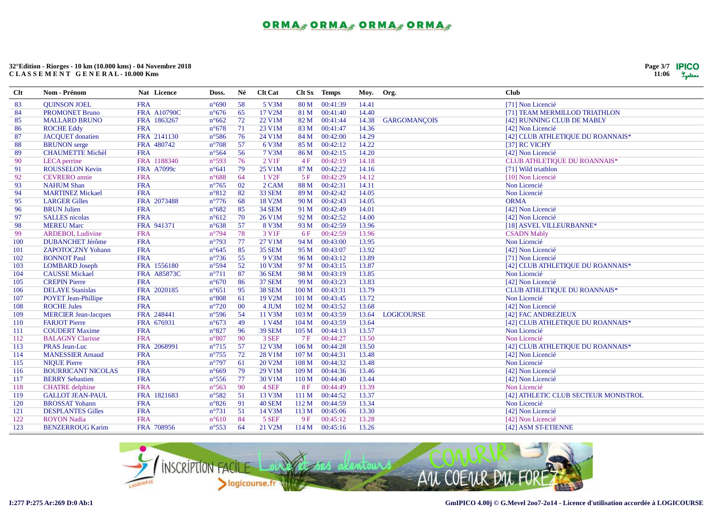

| $Cl$ t | Nom - Prénom                | Nat Licence        | Doss.           | Né  | <b>Clt Cat</b>         |                  | Clt Sx Temps   | Moy. Org. |                     | <b>Club</b>                          |
|--------|-----------------------------|--------------------|-----------------|-----|------------------------|------------------|----------------|-----------|---------------------|--------------------------------------|
| 83     | <b>OUINSON JOEL</b>         | <b>FRA</b>         | $n^{\circ}690$  | -58 | 5 V3M                  | 80 M             | 00:41:39       | 14.41     |                     | [71] Non Licencié                    |
| 84     | <b>PROMONET Bruno</b>       | <b>FRA A10790C</b> | $n^{\circ}676$  | 65  | 17 V2M                 | 81 M             | 00:41:40       | 14.40     |                     | [71] TEAM MERMILLOD TRIATHLON        |
| 85     | <b>MALLARD BRUNO</b>        | FRA 1863267        | $n^{\circ}662$  | 72  | 22 V1M                 | 82 M             | 00:41:44       | 14.38     | <b>GARGOMANÇOIS</b> | [42] RUNNING CLUB DE MABLY           |
| 86     | <b>ROCHE Eddy</b>           | <b>FRA</b>         | $n^{\circ}678$  | 71  | 23 V1M                 | 83 M             | 00:41:47       | 14.36     |                     | [42] Non Licencié                    |
| 87     | <b>JACOUET</b> donatien     | FRA 2141130        | $n^{\circ}586$  | 76  | 24 V1M                 | 84 M             | 00:42:00       | 14.29     |                     | [42] CLUB ATHLETIQUE DU ROANNAIS*    |
| 88     | <b>BRUNON</b> serge         | FRA 480742         | $n^{\circ}708$  | 57  | 6 V3M                  | 85 M             | 00:42:12       | 14.22     |                     | [37] RC VICHY                        |
| 89     | <b>CHAUMETTE Michèl</b>     | <b>FRA</b>         | $n^{\circ}$ 564 | 56  | 7 V3M                  | 86 M             | 00:42:15       | 14.20     |                     | [42] Non Licencié                    |
| 90     | LECA perrine                | FRA 1188340        | $n^{\circ}593$  | 76  | $2$ V <sub>1</sub> $F$ | 4F               | 00:42:19       | 14.18     |                     | CLUB ATHLETIQUE DU ROANNAIS*         |
| 91     | <b>ROUSSELON Kevin</b>      | <b>FRA A7099c</b>  | $n^{\circ}641$  | 79  | 25 V1M                 | 87 M             | 00:42:22       | 14.16     |                     | [71] Wild triathlon                  |
| 92     | <b>CEVRERO</b> annie        | <b>FRA</b>         | $n^{\circ}688$  | 64  | 1 V <sub>2F</sub>      | 5F               | 00:42:29       | 14.12     |                     | [10] Non Licencié                    |
| 93     | <b>NAHUM Shan</b>           | <b>FRA</b>         | $n^{\circ}765$  | 02  | 2 CAM                  | 88 M             | 00:42:31       | 14.11     |                     | Non Licencié                         |
| 94     | <b>MARTINEZ Mickael</b>     | <b>FRA</b>         | $n^{\circ}812$  | 82  | 33 SEM                 | 89 M             | 00:42:42       | 14.05     |                     | Non Licencié                         |
| 95     | <b>LARGER Gilles</b>        | FRA 2073488        | $n^{\circ}776$  | 68  | 18 V2M                 | 90 M             | 00:42:43       | 14.05     |                     | <b>ORMA</b>                          |
| 96     | <b>BRUN Julien</b>          | <b>FRA</b>         | $n^{\circ}682$  | 85  | <b>34 SEM</b>          | 91 M             | 00:42:49       | 14.01     |                     | [42] Non Licencié                    |
| 97     | <b>SALLES</b> nicolas       | <b>FRA</b>         | $n^{\circ}612$  | 70  | 26 V1M                 | 92 M             | 00:42:52       | 14.00     |                     | [42] Non Licencié                    |
| 98     | <b>MEREU Marc</b>           | FRA 941371         | $n^{\circ}638$  | 57  | 8 V3M                  | 93 M             | 00:42:59       | 13.96     |                     | [18] ASVEL VILLEURBANNE*             |
| 99     | <b>ARDEBOL Ludivine</b>     | <b>FRA</b>         | $n^{\circ}794$  | 78  | 3 V <sub>1F</sub>      | 6 F              | 00:42:59       | 13.96     |                     | <b>CSADN Mably</b>                   |
| 100    | <b>DUBANCHET Jérôme</b>     | <b>FRA</b>         | $n^{\circ}793$  | 77  | 27 V1M                 | 94 M             | 00:43:00       | 13.95     |                     | Non Licencié                         |
| 101    | <b>ZAPOTOCZNY Yohann</b>    | <b>FRA</b>         | $n^{\circ}645$  | 85  | <b>35 SEM</b>          | 95 M             | 00:43:07       | 13.92     |                     | [42] Non Licencié                    |
| 102    | <b>BONNOT Paul</b>          | <b>FRA</b>         | $n^{\circ}$ 736 | 55  | 9 V3M                  | 96 M             | 00:43:12       | 13.89     |                     | [71] Non Licencié                    |
| 103    | <b>LOMBARD</b> Joseph       | FRA 1556180        | $n^{\circ}594$  | 52  | 10 V3M                 | 97 M             | 00:43:15       | 13.87     |                     | [42] CLUB ATHLETIQUE DU ROANNAIS*    |
| 104    | <b>CAUSSE Mickael</b>       | FRA A85873C        | $n^{\circ}711$  | 87  | <b>36 SEM</b>          | 98 M             | 00:43:19       | 13.85     |                     | Non Licencié                         |
| 105    | <b>CREPIN Pierre</b>        | <b>FRA</b>         | $n^{\circ}670$  | 86  | <b>37 SEM</b>          | 99 M             | 00:43:23       | 13.83     |                     | [42] Non Licencié                    |
| 106    | <b>DELAYE</b> Stanislas     | FRA 2020185        | $n^{\circ}651$  | 95  | <b>38 SEM</b>          | 100 M            | 00:43:31       | 13.79     |                     | CLUB ATHLETIQUE DU ROANNAIS*         |
| 107    | <b>POYET Jean-Phillipe</b>  | <b>FRA</b>         | $n^{\circ}808$  | 61  | 19 V2M                 | 101 M            | 00:43:45       | 13.72     |                     | Non Licencié                         |
| 108    | <b>ROCHE Jules</b>          | <b>FRA</b>         | $n^{\circ}720$  | 00  | 4 JUM                  | 102 M            | 00:43:52       | 13.68     |                     | [42] Non Licencié                    |
| 109    | <b>MERCIER Jean-Jacques</b> | FRA 248441         | $n^{\circ}596$  | 54  | 11 V3M                 | 103 M            | 00:43:59       | 13.64     | <b>LOGICOURSE</b>   | [42] FAC ANDREZIEUX                  |
| 110    | <b>FARJOT Pierre</b>        | FRA 676931         | $n^{\circ}673$  | 49  | 1 V4M                  | 104 M            | 00:43:59       | 13.64     |                     | [42] CLUB ATHLETIQUE DU ROANNAIS*    |
| 111    | <b>COUDERT Maxime</b>       | <b>FRA</b>         | $n^{\circ}827$  | 96  | <b>39 SEM</b>          | 105 M            | 00:44:13       | 13.57     |                     | Non Licencié                         |
| 112    | <b>BALAGNY Clarisse</b>     | <b>FRA</b>         | $n^{\circ}807$  | 90  | 3 SEF                  | 7F               | 00:44:27       | 13.50     |                     | Non Licencié                         |
| 113    | <b>PRAS Jean-Luc</b>        | FRA 2068991        | $n^{\circ}715$  | 57  | 12 V3M                 | 106 M            | 00:44:28       | 13.50     |                     | [42] CLUB ATHLETIQUE DU ROANNAIS*    |
| 114    | <b>MANESSIER Arnaud</b>     | <b>FRA</b>         | $n^{\circ}755$  | 72  | 28 V1M                 | 107 <sub>M</sub> | 00:44:31       | 13.48     |                     | [42] Non Licencié                    |
| 115    | <b>NIQUE Pierre</b>         | <b>FRA</b>         | $n^{\circ}797$  | 61  | 20 V2M                 | 108 M            | 00:44:32       | 13.48     |                     | Non Licencié                         |
| 116    | <b>BOURRICANT NICOLAS</b>   | <b>FRA</b>         | $n^{\circ}669$  | 79  | 29 V1M                 | 109 M            | 00:44:36       | 13.46     |                     | [42] Non Licencié                    |
| 117    | <b>BERRY</b> Sebastien      | <b>FRA</b>         | $n^{\circ}556$  | 77  | 30 V1M                 | 110 M            | 00:44:40       | 13.44     |                     | [42] Non Licencié                    |
| 118    | <b>CHATRE</b> delphine      | <b>FRA</b>         | $n^{\circ}563$  | 90  | 4 SEF                  | 8F               | 00:44:49       | 13.39     |                     | Non Licencié                         |
| 119    | <b>GALLOT JEAN-PAUL</b>     | FRA 1821683        | $n^{\circ}582$  | 51  | 13 V3M                 | 111 M            | 00:44:52       | 13.37     |                     | [42] ATHLETIC CLUB SECTEUR MONISTROL |
| 120    | <b>BROSSAT Yohann</b>       | <b>FRA</b>         | $n^{\circ}826$  | 91  | <b>40 SEM</b>          | 112 M            | 00:44:59       | 13.34     |                     | Non Licencié                         |
| 121    | <b>DESPLANTES Gilles</b>    | <b>FRA</b>         | $n^{\circ}731$  | 51  | 14 V3M                 | 113M             | 00:45:06       | 13.30     |                     | [42] Non Licencié                    |
| 122    | <b>ROYON Nadia</b>          | <b>FRA</b>         | $n^{\circ}610$  | 84  | 5 SEF                  | 9F               | 00:45:12       | 13.28     |                     | [42] Non Licencié                    |
| 123    | <b>BENZERROUG Karim</b>     | FRA 708956         | $n^{\circ}553$  | 64  | 21 V2M                 |                  | 114 M 00:45:16 | 13.26     |                     | [42] ASM ST-ETIENNE                  |

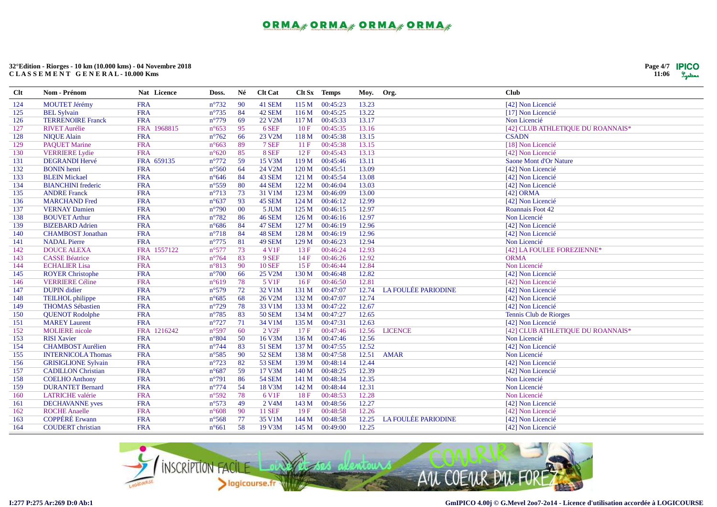| Page 4/7 | <b>IPICO</b> |
|----------|--------------|
| 11:06    | Lystems      |

| Clt | Nom - Prénom               | Nat Licence | Doss.           | Né | <b>Clt</b> Cat     |       | Clt Sx Temps | Moy.  | Org.                       | <b>Club</b>                       |
|-----|----------------------------|-------------|-----------------|----|--------------------|-------|--------------|-------|----------------------------|-----------------------------------|
| 124 | <b>MOUTET Jérémy</b>       | <b>FRA</b>  | $n^{\circ}732$  | 90 | 41 SEM             | 115 M | 00:45:23     | 13.23 |                            | [42] Non Licencié                 |
| 125 | <b>BEL Sylvain</b>         | <b>FRA</b>  | $n^{\circ}735$  | 84 | 42 SEM             | 116M  | 00:45:25     | 13.22 |                            | [17] Non Licencié                 |
| 126 | <b>TERRENOIRE Franck</b>   | <b>FRA</b>  | $n^{\circ}779$  | 69 | 22 V2M             | 117 M | 00:45:33     | 13.17 |                            | Non Licencié                      |
| 127 | <b>RIVET Aurélie</b>       | FRA 1968815 | $n^{\circ}653$  | 95 | 6 SEF              | 10F   | 00:45:35     | 13.16 |                            | [42] CLUB ATHLETIQUE DU ROANNAIS* |
| 128 | <b>NIQUE Alain</b>         | <b>FRA</b>  | $n^{\circ}762$  | 66 | 23 V2M             | 118 M | 00:45:38     | 13.15 |                            | <b>CSADN</b>                      |
| 129 | <b>PAQUET Marine</b>       | <b>FRA</b>  | $n^{\circ}663$  | 89 | 7 SEF              | 11F   | 00:45:38     | 13.15 |                            | [18] Non Licencié                 |
| 130 | <b>VERRIERE</b> Lydie      | <b>FRA</b>  | $n^{\circ}620$  | 85 | 8 SEF              | 12F   | 00:45:43     | 13.13 |                            | [42] Non Licencié                 |
| 131 | <b>DEGRANDI Hervé</b>      | FRA 659135  | $n^{\circ}772$  | 59 | 15 V3M             | 119 M | 00:45:46     | 13.11 |                            | Saone Mont d'Or Nature            |
| 132 | <b>BONIN</b> henri         | <b>FRA</b>  | $n^{\circ}560$  | 64 | 24 V2M             | 120 M | 00:45:51     | 13.09 |                            | [42] Non Licencié                 |
| 133 | <b>BLEIN Mickael</b>       | <b>FRA</b>  | $n^{\circ}646$  | 84 | 43 SEM             | 121 M | 00:45:54     | 13.08 |                            | [42] Non Licencié                 |
| 134 | <b>BIANCHINI</b> frederic  | <b>FRA</b>  | $n^{\circ}559$  | 80 | 44 SEM             | 122 M | 00:46:04     | 13.03 |                            | [42] Non Licencié                 |
| 135 | <b>ANDRE Franck</b>        | <b>FRA</b>  | $n^{\circ}713$  | 73 | 31 V1M             | 123M  | 00:46:09     | 13.00 |                            | [42] ORMA                         |
| 136 | <b>MARCHAND Fred</b>       | <b>FRA</b>  | $n^{\circ}637$  | 93 | 45 SEM             | 124 M | 00:46:12     | 12.99 |                            | [42] Non Licencié                 |
| 137 | <b>VERNAY Damien</b>       | <b>FRA</b>  | $n^{\circ}790$  | 00 | 5 JUM              | 125 M | 00:46:15     | 12.97 |                            | Roannais Foot 42                  |
| 138 | <b>BOUVET Arthur</b>       | <b>FRA</b>  | $n^{\circ}782$  | 86 | <b>46 SEM</b>      | 126 M | 00:46:16     | 12.97 |                            | Non Licencié                      |
| 139 | <b>BIZEBARD</b> Adrien     | <b>FRA</b>  | $n^{\circ}686$  | 84 | <b>47 SEM</b>      | 127 M | 00:46:19     | 12.96 |                            | [42] Non Licencié                 |
| 140 | <b>CHAMBOST</b> Jonathan   | <b>FRA</b>  | $n^{\circ}718$  | 84 | 48 SEM             | 128 M | 00:46:19     | 12.96 |                            | [42] Non Licencié                 |
| 141 | <b>NADAL Pierre</b>        | <b>FRA</b>  | $n^{\circ}775$  | 81 | <b>49 SEM</b>      | 129 M | 00:46:23     | 12.94 |                            | Non Licencié                      |
| 142 | <b>DOUCE ALEXA</b>         | FRA 1557122 | $n^{\circ}577$  | 73 | 4 V1F              | 13F   | 00:46:24     | 12.93 |                            | [42] LA FOULEE FOREZIENNE*        |
| 143 | <b>CASSE Béatrice</b>      | <b>FRA</b>  | $n^{\circ}764$  | 83 | 9 SEF              | 14F   | 00:46:26     | 12.92 |                            | <b>ORMA</b>                       |
| 144 | <b>ECHALIER Lisa</b>       | <b>FRA</b>  | $n^{\circ}813$  | 90 | <b>10 SEF</b>      | 15F   | 00:46:44     | 12.84 |                            | Non Licencié                      |
| 145 | <b>ROYER Christophe</b>    | <b>FRA</b>  | $n^{\circ}700$  | 66 | 25 V2M             | 130 M | 00:46:48     | 12.82 |                            | [42] Non Licencié                 |
| 146 | <b>VERRIERE Céline</b>     | <b>FRA</b>  | $n^{\circ}619$  | 78 | 5 V1F              | 16F   | 00:46:50     | 12.81 |                            | [42] Non Licencié                 |
| 147 | <b>DUPIN</b> didier        | <b>FRA</b>  | $n^{\circ}579$  | 72 | 32 V1M             | 131 M | 00:47:07     | 12.74 | <b>LA FOULÉE PARIODINE</b> | [42] Non Licencié                 |
| 148 | <b>TEILHOL</b> philippe    | <b>FRA</b>  | $n^{\circ}685$  | 68 | 26 V2M             | 132 M | 00:47:07     | 12.74 |                            | [42] Non Licencié                 |
| 149 | <b>THOMAS Sébastien</b>    | <b>FRA</b>  | $n^{\circ}729$  | 78 | 33 V1M             | 133 M | 00:47:22     | 12.67 |                            | [42] Non Licencié                 |
| 150 | <b>QUENOT Rodolphe</b>     | <b>FRA</b>  | $n^{\circ}785$  | 83 | <b>50 SEM</b>      | 134 M | 00:47:27     | 12.65 |                            | Tennis Club de Riorges            |
| 151 | <b>MAREY Laurent</b>       | <b>FRA</b>  | $n^{\circ}727$  | 71 | 34 V1M             | 135 M | 00:47:31     | 12.63 |                            | [42] Non Licencié                 |
| 152 | <b>MOLIERE</b> nicole      | FRA 1216242 | $n^{\circ}597$  | 60 | 2 V <sub>2F</sub>  | 17F   | 00:47:46     | 12.56 | <b>LICENCE</b>             | [42] CLUB ATHLETIQUE DU ROANNAIS* |
| 153 | <b>RISI Xavier</b>         | <b>FRA</b>  | $n^{\circ}804$  | 50 | 16 V3M             | 136 M | 00:47:46     | 12.56 |                            | Non Licencié                      |
| 154 | <b>CHAMBOST Aurélien</b>   | <b>FRA</b>  | $n^{\circ}$ 744 | 83 | 51 SEM             | 137 M | 00:47:55     | 12.52 |                            | [42] Non Licencié                 |
| 155 | <b>INTERNICOLA Thomas</b>  | <b>FRA</b>  | $n^{\circ}585$  | 90 | <b>52 SEM</b>      | 138 M | 00:47:58     | 12.51 | <b>AMAR</b>                | Non Licencié                      |
| 156 | <b>GRISIGLIONE Sylvain</b> | <b>FRA</b>  | $n^{\circ}723$  | 82 | <b>53 SEM</b>      | 139 M | 00:48:14     | 12.44 |                            | [42] Non Licencié                 |
| 157 | <b>CADILLON Christian</b>  | <b>FRA</b>  | $n^{\circ}687$  | 59 | 17 V3M             | 140 M | 00:48:25     | 12.39 |                            | [42] Non Licencié                 |
| 158 | <b>COELHO</b> Anthony      | <b>FRA</b>  | $n^{\circ}791$  | 86 | <b>54 SEM</b>      | 141 M | 00:48:34     | 12.35 |                            | Non Licencié                      |
| 159 | <b>DURANTET Bernard</b>    | <b>FRA</b>  | $n^{\circ}774$  | 54 | 18 V3M             | 142 M | 00:48:44     | 12.31 |                            | Non Licencié                      |
| 160 | <b>LATRICHE</b> valérie    | <b>FRA</b>  | $n^{\circ}592$  | 78 | 6 V1F              | 18F   | 00:48:53     | 12.28 |                            | Non Licencié                      |
| 161 | <b>DECHAVANNE</b> yves     | <b>FRA</b>  | $n^{\circ}573$  | 49 | 2 V <sub>4</sub> M | 143 M | 00:48:56     | 12.27 |                            | [42] Non Licencié                 |
| 162 | <b>ROCHE Anaelle</b>       | <b>FRA</b>  | $n^{\circ}608$  | 90 | <b>11 SEF</b>      | 19F   | 00:48:58     | 12.26 |                            | [42] Non Licencié                 |
| 163 | <b>COPPÉRÉ Erwann</b>      | <b>FRA</b>  | $n^{\circ}$ 568 | 77 | 35 V1M             | 144 M | 00:48:58     | 12.25 | <b>LA FOULÉE PARIODINE</b> | [42] Non Licencié                 |
| 164 | <b>COUDERT</b> christian   | <b>FRA</b>  | $n^{\circ}661$  | 58 | 19 V3M             | 145 M | 00:49:00     | 12.25 |                            | [42] Non Licencié                 |

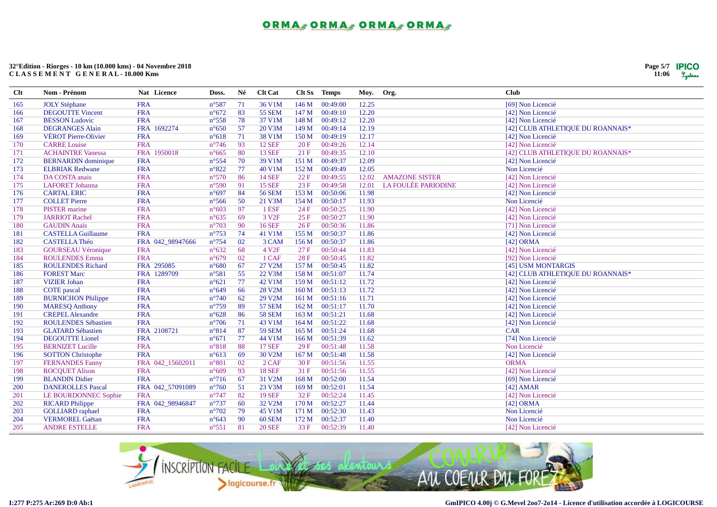

| $Cl$ t | Nom - Prénom                | Nat Licence      | Doss.           | Né | <b>Clt Cat</b>    |       | Clt Sx Temps | Moy.  | Org.                       | <b>Club</b>                       |
|--------|-----------------------------|------------------|-----------------|----|-------------------|-------|--------------|-------|----------------------------|-----------------------------------|
| 165    | <b>JOLY Stéphane</b>        | <b>FRA</b>       | $n^{\circ}587$  | 71 | 36 V1M            | 146 M | 00:49:00     | 12.25 |                            | [69] Non Licencié                 |
| 166    | <b>DEGOUTTE Vincent</b>     | <b>FRA</b>       | $n^{\circ}672$  | 83 | <b>55 SEM</b>     | 147 M | 00:49:10     | 12.20 |                            | [42] Non Licencié                 |
| 167    | <b>BESSON</b> Ludovic       | <b>FRA</b>       | $n^{\circ}558$  | 78 | 37 V1M            | 148 M | 00:49:12     | 12.20 |                            | [42] Non Licencié                 |
| 168    | <b>DEGRANGES Alain</b>      | FRA 1692274      | $n^{\circ}650$  | 57 | 20 V3M            | 149 M | 00:49:14     | 12.19 |                            | [42] CLUB ATHLETIQUE DU ROANNAIS* |
| 169    | <b>VÉROT Pierre-Olivier</b> | <b>FRA</b>       | $n^{\circ}618$  | 71 | 38 V1M            | 150 M | 00:49:19     | 12.17 |                            | [42] Non Licencié                 |
| 170    | <b>CARRE Louise</b>         | <b>FRA</b>       | $n^{\circ}$ 746 | 93 | <b>12 SEF</b>     | 20F   | 00:49:26     | 12.14 |                            | [42] Non Licencié                 |
| 171    | <b>ACHAINTRE Vanessa</b>    | FRA 1950018      | $n^{\circ}665$  | 80 | <b>13 SEF</b>     | 21F   | 00:49:35     | 12.10 |                            | [42] CLUB ATHLETIQUE DU ROANNAIS* |
| 172    | <b>BERNARDIN</b> dominique  | <b>FRA</b>       | $n^{\circ}554$  | 70 | 39 V1M            | 151 M | 00:49:37     | 12.09 |                            | [42] Non Licencié                 |
| 173    | <b>ELBRIAK Redwane</b>      | <b>FRA</b>       | $n^{\circ}822$  | 77 | 40 V1M            | 152 M | 00:49:49     | 12.05 |                            | Non Licencié                      |
| 174    | DA COSTA anais              | <b>FRA</b>       | $n^{\circ}570$  | 86 | <b>14 SEF</b>     | 22F   | 00:49:55     | 12.02 | <b>AMAZONE SISTER</b>      | [42] Non Licencié                 |
| 175    | <b>LAFORET</b> Johanna      | <b>FRA</b>       | $n^{\circ}590$  | 91 | <b>15 SEF</b>     | 23F   | 00:49:58     | 12.01 | <b>LA FOULÉE PARIODINE</b> | [42] Non Licencié                 |
| 176    | <b>CARTAL ERIC</b>          | <b>FRA</b>       | $n^{\circ}697$  | 84 | <b>56 SEM</b>     | 153 M | 00:50:06     | 11.98 |                            | [42] Non Licencié                 |
| 177    | <b>COLLET Pierre</b>        | <b>FRA</b>       | $n^{\circ}$ 566 | 50 | 21 V3M            | 154 M | 00:50:17     | 11.93 |                            | Non Licencié                      |
| 178    | <b>PISTER</b> marine        | <b>FRA</b>       | $n^{\circ}603$  | 97 | 1 ESF             | 24 F  | 00:50:25     | 11.90 |                            | [42] Non Licencié                 |
| 179    | <b>JARRIOT Rachel</b>       | <b>FRA</b>       | $n^{\circ}635$  | 69 | 3 V <sub>2F</sub> | 25F   | 00:50:27     | 11.90 |                            | [42] Non Licencié                 |
| 180    | <b>GAUDIN</b> Anaïs         | <b>FRA</b>       | $n^{\circ}703$  | 90 | <b>16 SEF</b>     | 26F   | 00:50:36     | 11.86 |                            | [71] Non Licencié                 |
| 181    | <b>CASTELLA Guillaume</b>   | <b>FRA</b>       | $n^{\circ}753$  | 74 | 41 V1M            | 155 M | 00:50:37     | 11.86 |                            | [42] Non Licencié                 |
| 182    | <b>CASTELLA Théo</b>        | FRA 042_98947666 | $n^{\circ}754$  | 02 | 3 CAM             | 156 M | 00:50:37     | 11.86 |                            | [42] ORMA                         |
| 183    | <b>GOURSEAU Véronique</b>   | <b>FRA</b>       | $n^{\circ}632$  | 68 | 4 V <sub>2F</sub> | 27 F  | 00:50:44     | 11.83 |                            | [42] Non Licencié                 |
| 184    | <b>ROULENDES Emma</b>       | <b>FRA</b>       | $n^{\circ}679$  | 02 | 1 CAF             | 28F   | 00:50:45     | 11.82 |                            | [92] Non Licencié                 |
| 185    | <b>ROULENDES Richard</b>    | FRA 295085       | $n^{\circ}680$  | 67 | 27 V2M            | 157 M | 00:50:45     | 11.82 |                            | [45] USM MONTARGIS                |
| 186    | <b>FOREST Marc</b>          | FRA 1289709      | $n^{\circ}581$  | 55 | 22 V3M            | 158 M | 00:51:07     | 11.74 |                            | [42] CLUB ATHLETIQUE DU ROANNAIS* |
| 187    | <b>VIZIER Johan</b>         | <b>FRA</b>       | $n^{\circ}621$  | 77 | 42 V1M            | 159 M | 00:51:12     | 11.72 |                            | [42] Non Licencié                 |
| 188    | <b>COTE</b> pascal          | <b>FRA</b>       | $n^{\circ}649$  | 66 | 28 V2M            | 160 M | 00:51:13     | 11.72 |                            | [42] Non Licencié                 |
| 189    | <b>BURNICHON Philippe</b>   | <b>FRA</b>       | $n^{\circ}740$  | 62 | 29 V2M            | 161 M | 00:51:16     | 11.71 |                            | [42] Non Licencié                 |
| 190    | <b>MARESQ Anthony</b>       | <b>FRA</b>       | $n^{\circ}759$  | 89 | <b>57 SEM</b>     | 162 M | 00:51:17     | 11.70 |                            | [42] Non Licencié                 |
| 191    | <b>CREPEL Alexandre</b>     | <b>FRA</b>       | $n^{\circ}628$  | 86 | <b>58 SEM</b>     | 163 M | 00:51:21     | 11.68 |                            | [42] Non Licencié                 |
| 192    | <b>ROULENDES Sébastien</b>  | <b>FRA</b>       | $n^{\circ}706$  | 71 | 43 V1M            | 164 M | 00:51:22     | 11.68 |                            | [42] Non Licencié                 |
| 193    | <b>GLATARD Sébastien</b>    | FRA 2108721      | $n^{\circ}814$  | 87 | <b>59 SEM</b>     | 165 M | 00:51:24     | 11.68 |                            | <b>CAR</b>                        |
| 194    | <b>DEGOUTTE Lionel</b>      | <b>FRA</b>       | $n^{\circ}671$  | 77 | 44 V1M            | 166 M | 00:51:39     | 11.62 |                            | [74] Non Licencié                 |
| 195    | <b>BERNIZET Lucille</b>     | <b>FRA</b>       | $n^{\circ}818$  | 88 | <b>17 SEF</b>     | 29F   | 00:51:48     | 11.58 |                            | Non Licencié                      |
| 196    | <b>SOTTON Christophe</b>    | <b>FRA</b>       | $n^{\circ}613$  | 69 | 30 V2M            | 167 M | 00:51:48     | 11.58 |                            | [42] Non Licencié                 |
| 197    | <b>FERNANDES Fanny</b>      | FRA 042_15602011 | $n^{\circ}801$  | 02 | $2$ CAF           | 30 F  | 00:51:56     | 11.55 |                            | <b>ORMA</b>                       |
| 198    | <b>ROCQUET Alison</b>       | <b>FRA</b>       | $n^{\circ}609$  | 93 | <b>18 SEF</b>     | 31 F  | 00:51:56     | 11.55 |                            | [42] Non Licencié                 |
| 199    | <b>BLANDIN Didier</b>       | <b>FRA</b>       | $n^{\circ}716$  | 67 | 31 V2M            | 168 M | 00:52:00     | 11.54 |                            | [69] Non Licencié                 |
| 200    | <b>DANEROLLES Pascal</b>    | FRA 042_57091089 | $n^{\circ}760$  | 51 | 23 V3M            | 169 M | 00:52:01     | 11.54 |                            | $[42]$ AMAR                       |
| 201    | LE BOURDONNEC Sophie        | <b>FRA</b>       | $n^{\circ}747$  | 82 | <b>19 SEF</b>     | 32 F  | 00:52:24     | 11.45 |                            | [42] Non Licencié                 |
| 202    | <b>RICARD Philippe</b>      | FRA 042_98946847 | $n^{\circ}737$  | 60 | 32 V2M            | 170 M | 00:52:27     | 11.44 |                            | [42] ORMA                         |
| 203    | <b>GOLLIARD</b> raphael     | <b>FRA</b>       | $n^{\circ}702$  | 79 | 45 V1M            | 171 M | 00:52:30     | 11.43 |                            | Non Licencié                      |
| 204    | <b>VERMOREL Gaëtan</b>      | <b>FRA</b>       | $n^{\circ}643$  | 90 | 60 SEM            | 172 M | 00:52:37     | 11.40 |                            | Non Licencié                      |
| 205    | <b>ANDRE ESTELLE</b>        | <b>FRA</b>       | $n^{\circ}551$  | 81 | <b>20 SEF</b>     | 33 F  | 00:52:39     | 11.40 |                            | [42] Non Licencié                 |

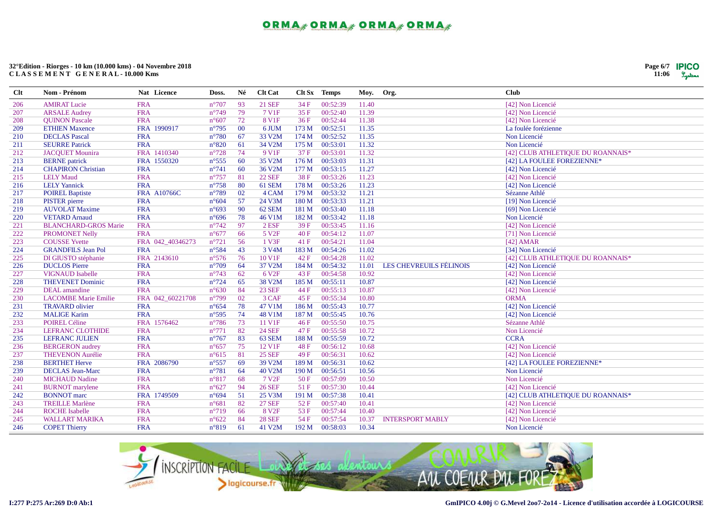| Page 6/7 | <b>IPICO</b> |
|----------|--------------|
| 11:06    | Lystems      |

| <b>Clt</b> | Nom - Prénom                | Nat Licence        | Doss.          | Né  | <b>Clt Cat</b>     |       | Clt Sx Temps | Moy. Org. |                         | <b>Club</b>                       |
|------------|-----------------------------|--------------------|----------------|-----|--------------------|-------|--------------|-----------|-------------------------|-----------------------------------|
| 206        | <b>AMIRAT Lucie</b>         | <b>FRA</b>         | $n^{\circ}707$ | 93  | <b>21 SEF</b>      | 34 F  | 00:52:39     | 11.40     |                         | [42] Non Licencié                 |
| 207        | <b>ARSALE Audrey</b>        | <b>FRA</b>         | $n^{\circ}749$ | 79  | 7 V1F              | 35F   | 00:52:40     | 11.39     |                         | [42] Non Licencié                 |
| 208        | <b>OUINON Pascale</b>       | <b>FRA</b>         | $n^{\circ}607$ | 72  | 8 V1F              | 36F   | 00:52:44     | 11.38     |                         | [42] Non Licencié                 |
| 209        | <b>ETHIEN Maxence</b>       | FRA 1990917        | $n^{\circ}795$ | 00  | 6 JUM              | 173 M | 00:52:51     | 11.35     |                         | La foulée forézienne              |
| 210        | <b>DECLAS</b> Pascal        | <b>FRA</b>         | $n^{\circ}780$ | 67  | 33 V2M             | 174 M | 00:52:52     | 11.35     |                         | Non Licencié                      |
| 211        | <b>SEURRE Patrick</b>       | <b>FRA</b>         | $n^{\circ}820$ | 61  | 34 V2M             | 175 M | 00:53:01     | 11.32     |                         | Non Licencié                      |
| 212        | <b>JACQUET Mounira</b>      | FRA 1410340        | $n^{\circ}728$ | 74  | 9 V1F              | 37 F  | 00:53:01     | 11.32     |                         | [42] CLUB ATHLETIQUE DU ROANNAIS* |
| 213        | <b>BERNE</b> patrick        | FRA 1550320        | $n^{\circ}555$ | 60  | 35 V2M             | 176 M | 00:53:03     | 11.31     |                         | [42] LA FOULEE FOREZIENNE*        |
| 214        | <b>CHAPIRON Christian</b>   | <b>FRA</b>         | $n^{\circ}741$ | 60  | 36 V2M             | 177 M | 00:53:15     | 11.27     |                         | [42] Non Licencié                 |
| 215        | <b>LELY Maud</b>            | <b>FRA</b>         | $n^{\circ}757$ | 81  | <b>22 SEF</b>      | 38F   | 00:53:26     | 11.23     |                         | [42] Non Licencié                 |
| 216        | <b>LELY</b> Yannick         | <b>FRA</b>         | $n^{\circ}758$ | 80  | 61 SEM             | 178 M | 00:53:26     | 11.23     |                         | [42] Non Licencié                 |
| 217        | <b>POIREL Baptiste</b>      | <b>FRA A10766C</b> | $n^{\circ}789$ | 02  | 4 CAM              | 179 M | 00:53:32     | 11.21     |                         | Sézanne Athlé                     |
| 218        | <b>PISTER</b> pierre        | <b>FRA</b>         | $n^{\circ}604$ | 57  | 24 V3M             | 180 M | 00:53:33     | 11.21     |                         | [19] Non Licencié                 |
| 219        | <b>AUVOLAT Maxime</b>       | <b>FRA</b>         | $n^{\circ}693$ | -90 | 62 SEM             | 181 M | 00:53:40     | 11.18     |                         | [69] Non Licencié                 |
| 220        | <b>VETARD Arnaud</b>        | <b>FRA</b>         | $n^{\circ}696$ | 78  | 46 V1M             | 182 M | 00:53:42     | 11.18     |                         | Non Licencié                      |
| 221        | <b>BLANCHARD-GROS Marie</b> | <b>FRA</b>         | $n^{\circ}742$ | 97  | $2$ ESF            | 39 F  | 00:53:45     | 11.16     |                         | [42] Non Licencié                 |
| 222        | PROMONET Nelly              | <b>FRA</b>         | $n^{\circ}677$ | 66  | 5 V <sub>2F</sub>  | 40 F  | 00:54:12     | 11.07     |                         | [71] Non Licencié                 |
| 223        | <b>COUSSE</b> Yvette        | FRA 042_40346273   | $n^{\circ}721$ | 56  | 1 V3F              | 41F   | 00:54:21     | 11.04     |                         | $[42]$ AMAR                       |
| 224        | <b>GRANDFILS Jean Pol</b>   | <b>FRA</b>         | $n^{\circ}584$ | 43  | 3 V <sub>4</sub> M | 183 M | 00:54:26     | 11.02     |                         | [34] Non Licencié                 |
| 225        | DI GIUSTO stéphanie         | FRA 2143610        | $n^{\circ}576$ | 76  | 10 V1F             | 42 F  | 00:54:28     | 11.02     |                         | [42] CLUB ATHLETIQUE DU ROANNAIS* |
| 226        | <b>DUCLOS</b> Pierre        | <b>FRA</b>         | $n^{\circ}709$ | 64  | 37 V2M             | 184 M | 00:54:32     | 11.01     | LES CHEVREUILS FÉLINOIS | [42] Non Licencié                 |
| 227        | <b>VIGNAUD Isabelle</b>     | <b>FRA</b>         | $n^{\circ}743$ | 62  | 6 V <sub>2F</sub>  | 43 F  | 00:54:58     | 10.92     |                         | [42] Non Licencié                 |
| 228        | <b>THEVENET Dominic</b>     | <b>FRA</b>         | $n^{\circ}724$ | 65  | 38 V2M             | 185 M | 00:55:11     | 10.87     |                         | [42] Non Licencié                 |
| 229        | DEAL amandine               | <b>FRA</b>         | $n^{\circ}630$ | 84  | <b>23 SEF</b>      | 44 F  | 00:55:13     | 10.87     |                         | [42] Non Licencié                 |
| 230        | <b>LACOMBE Marie Emilie</b> | FRA 042_60221708   | $n^{\circ}799$ | 02  | 3 CAF              | 45 F  | 00:55:34     | 10.80     |                         | <b>ORMA</b>                       |
| 231        | <b>TRAVARD</b> olivier      | <b>FRA</b>         | $n^{\circ}654$ | 78  | 47 V1M             | 186 M | 00:55:43     | 10.77     |                         | [42] Non Licencié                 |
| 232        | <b>MALIGE Karim</b>         | <b>FRA</b>         | $n^{\circ}595$ | 74  | 48 V1M             | 187 M | 00:55:45     | 10.76     |                         | [42] Non Licencié                 |
| 233        | <b>POIREL Céline</b>        | FRA 1576462        | $n^{\circ}786$ | 73  | 11 V1F             | 46F   | 00:55:50     | 10.75     |                         | Sézanne Athlé                     |
| 234        | <b>LEFRANC CLOTHIDE</b>     | <b>FRA</b>         | $n^{\circ}771$ | 82  | <b>24 SEF</b>      | 47 F  | 00:55:58     | 10.72     |                         | Non Licencié                      |
| 235        | <b>LEFRANC JULIEN</b>       | <b>FRA</b>         | $n^{\circ}767$ | 83  | 63 SEM             | 188 M | 00:55:59     | 10.72     |                         | <b>CCRA</b>                       |
| 236        | <b>BERGERON</b> audrey      | <b>FRA</b>         | $n^{\circ}657$ | 75  | 12 V1F             | 48F   | 00:56:12     | 10.68     |                         | [42] Non Licencié                 |
| 237        | <b>THEVENON Aurélie</b>     | <b>FRA</b>         | $n^{\circ}615$ | 81  | <b>25 SEF</b>      | 49 F  | 00:56:31     | 10.62     |                         | [42] Non Licencié                 |
| 238        | <b>BERTHET Herve</b>        | FRA 2086790        | $n^{\circ}557$ | 69  | 39 V2M             | 189 M | 00:56:31     | 10.62     |                         | [42] LA FOULEE FOREZIENNE*        |
| 239        | <b>DECLAS</b> Jean-Marc     | <b>FRA</b>         | $n^{\circ}781$ | 64  | 40 V2M             | 190 M | 00:56:51     | 10.56     |                         | Non Licencié                      |
| 240        | <b>MICHAUD Nadine</b>       | <b>FRA</b>         | $n^{\circ}817$ | 68  | 7 V <sub>2F</sub>  | 50F   | 00:57:09     | 10.50     |                         | Non Licencié                      |
| 241        | <b>BURNOT</b> marylene      | <b>FRA</b>         | $n^{\circ}627$ | 94  | <b>26 SEF</b>      | 51F   | 00:57:30     | 10.44     |                         | [42] Non Licencié                 |
| 242        | <b>BONNOT</b> marc          | FRA 1749509        | $n^{\circ}694$ | 51  | 25 V3M             | 191 M | 00:57:38     | 10.41     |                         | [42] CLUB ATHLETIQUE DU ROANNAIS* |
| 243        | <b>TREILLE Marlène</b>      | <b>FRA</b>         | $n^{\circ}681$ | 82  | <b>27 SEF</b>      | 52 F  | 00:57:40     | 10.41     |                         | [42] Non Licencié                 |
| 244        | <b>ROCHE</b> Isabelle       | <b>FRA</b>         | $n^{\circ}719$ | 66  | 8 V <sub>2F</sub>  | 53 F  | 00:57:44     | 10.40     |                         | [42] Non Licencié                 |
| 245        | <b>WALLART MARIKA</b>       | <b>FRA</b>         | $n^{\circ}622$ | 84  | <b>28 SEF</b>      | 54 F  | 00:57:54     | 10.37     | <b>INTERSPORT MABLY</b> | [42] Non Licencié                 |
| 246        | <b>COPET Thierry</b>        | <b>FRA</b>         | $n^{\circ}819$ | 61  | 41 V2M             | 192 M | 00:58:03     | 10.34     |                         | Non Licencié                      |